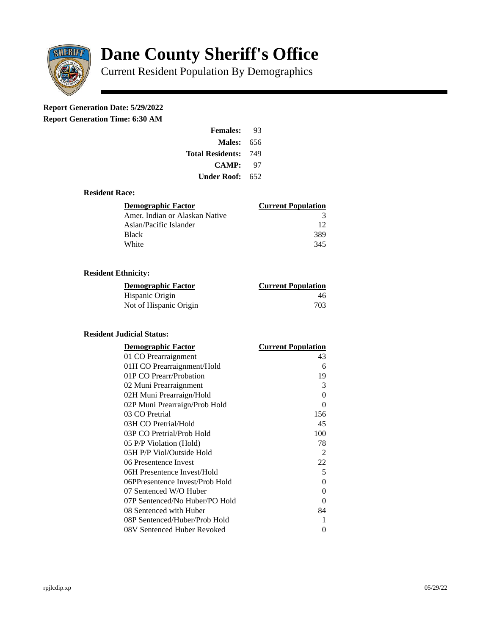

# **Dane County Sheriff's Office**

Current Resident Population By Demographics

# **Report Generation Date: 5/29/2022**

**Report Generation Time: 6:30 AM** 

| <b>Females:</b>         | 93  |
|-------------------------|-----|
| Males:                  | 656 |
| <b>Total Residents:</b> | 749 |
| CAMP:                   | 97  |
| Under Roof:             | 652 |

#### **Resident Race:**

| Demographic Factor             | <b>Current Population</b> |
|--------------------------------|---------------------------|
| Amer. Indian or Alaskan Native | 3                         |
| Asian/Pacific Islander         | 12                        |
| Black                          | 389                       |
| White                          | 345                       |

## **Resident Ethnicity:**

| <u>Demographic Factor</u> | <u>Current Population</u> |
|---------------------------|---------------------------|
| Hispanic Origin           | 46                        |
| Not of Hispanic Origin    | 703                       |

#### **Resident Judicial Status:**

| <b>Demographic Factor</b>       | <b>Current Population</b> |
|---------------------------------|---------------------------|
| 01 CO Prearraignment            | 43                        |
| 01H CO Prearraignment/Hold      | 6                         |
| 01P CO Prearr/Probation         | 19                        |
| 02 Muni Prearraignment          | 3                         |
| 02H Muni Prearraign/Hold        | 0                         |
| 02P Muni Prearraign/Prob Hold   | 0                         |
| 03 CO Pretrial                  | 156                       |
| 03H CO Pretrial/Hold            | 45                        |
| 03P CO Pretrial/Prob Hold       | 100                       |
| 05 P/P Violation (Hold)         | 78                        |
| 05H P/P Viol/Outside Hold       | 2                         |
| 06 Presentence Invest           | 22                        |
| 06H Presentence Invest/Hold     | 5                         |
| 06PPresentence Invest/Prob Hold | 0                         |
| 07 Sentenced W/O Huber          | 0                         |
| 07P Sentenced/No Huber/PO Hold  | 0                         |
| 08 Sentenced with Huber         | 84                        |
| 08P Sentenced/Huber/Prob Hold   | 1                         |
| 08V Sentenced Huber Revoked     | 0                         |